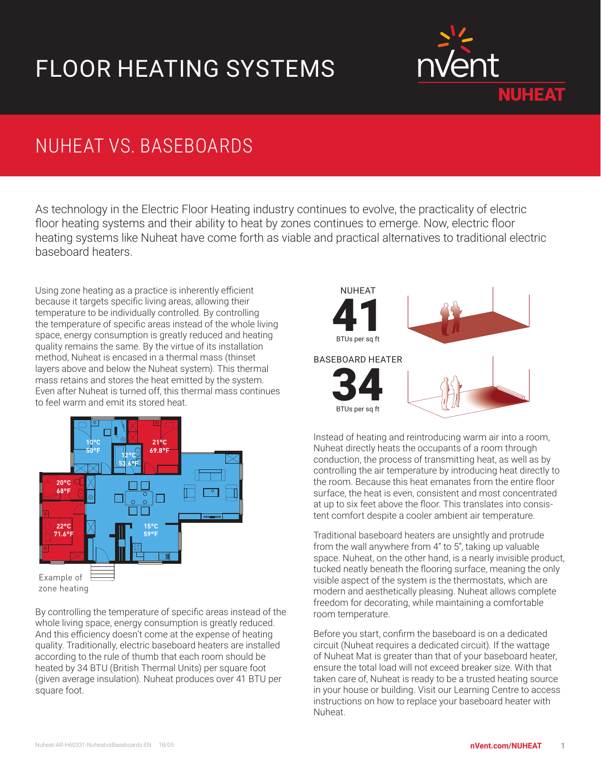## FLOOR HEATING SYSTEMS



## NUHEAT VS. BASEBOARDS

As technology in the Electric Floor Heating industry continues to evolve, the practicality of electric floor heating systems and their ability to heat by zones continues to emerge. Now, electric floor heating systems like Nuheat have come forth as viable and practical alternatives to traditional electric baseboard heaters.

Using zone heating as a practice is inherently efficient because it targets specific living areas, allowing their temperature to be individually controlled. By controlling the temperature of specific areas instead of the whole living space, energy consumption is greatly reduced and heating quality remains the same. By the virtue of its installation method, Nuheat is encased in a thermal mass (thinset layers above and below the Nuheat system). This thermal mass retains and stores the heat emitted by the system. Even after Nuheat is turned off, this thermal mass continues to feel warm and emit its stored heat.



zone heating

By controlling the temperature of specific areas instead of the whole living space, energy consumption is greatly reduced. And this efficiency doesn't come at the expense of heating quality. Traditionally, electric baseboard heaters are installed according to the rule of thumb that each room should be heated by 34 BTU (British Thermal Units) per square foot (given average insulation). Nuheat produces over 41 BTU per square foot.



Instead of heating and reintroducing warm air into a room, Nuheat directly heats the occupants of a room through conduction, the process of transmitting heat, as well as by controlling the air temperature by introducing heat directly to the room. Because this heat emanates from the entire floor surface, the heat is even, consistent and most concentrated at up to six feet above the floor. This translates into consistent comfort despite a cooler ambient air temperature.

Traditional baseboard heaters are unsightly and protrude from the wall anywhere from 4" to 5", taking up valuable space. Nuheat, on the other hand, is a nearly invisible product, tucked neatly beneath the flooring surface, meaning the only visible aspect of the system is the thermostats, which are modern and aesthetically pleasing. Nuheat allows complete freedom for decorating, while maintaining a comfortable room temperature.

Before you start, confirm the baseboard is on a dedicated circuit (Nuheat requires a dedicated circuit). If the wattage of Nuheat Mat is greater than that of your baseboard heater, ensure the total load will not exceed breaker size. With that taken care of, Nuheat is ready to be a trusted heating source in your house or building. Visit our Learning Centre to access instructions on how to replace your baseboard heater with Nuheat.